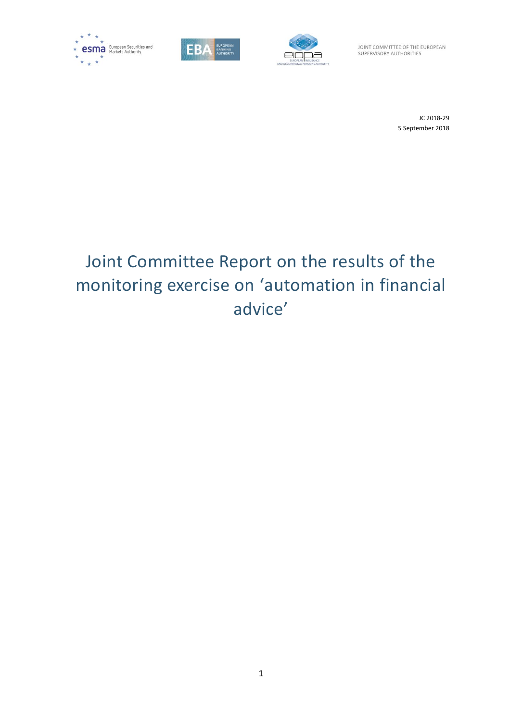





JOINT COMMITTEE OF THE EUROPEAN SUPERVISORY AUTHORITIES

> JC 2018-29 5 September 2018

# Joint Committee Report on the results of the monitoring exercise on 'automation in financial advice'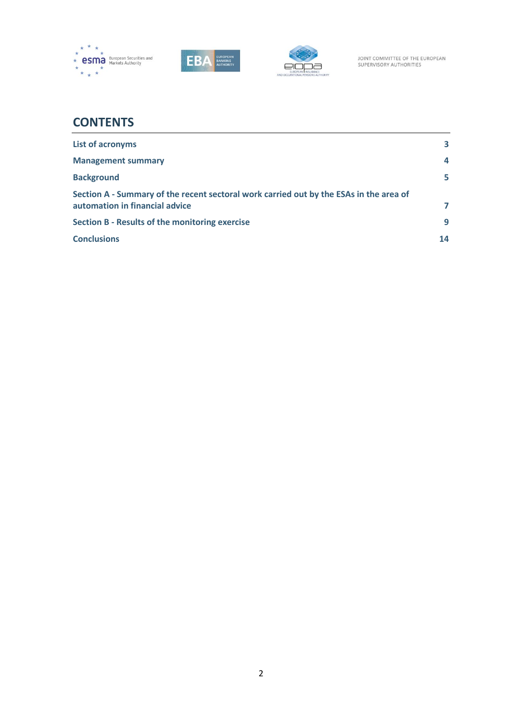





## **CONTENTS**

| <b>List of acronyms</b>                                                                                                  | 3              |
|--------------------------------------------------------------------------------------------------------------------------|----------------|
| <b>Management summary</b>                                                                                                | $\overline{a}$ |
| <b>Background</b>                                                                                                        | 5              |
| Section A - Summary of the recent sectoral work carried out by the ESAs in the area of<br>automation in financial advice | 7              |
| <b>Section B - Results of the monitoring exercise</b>                                                                    | 9              |
| <b>Conclusions</b>                                                                                                       | 14             |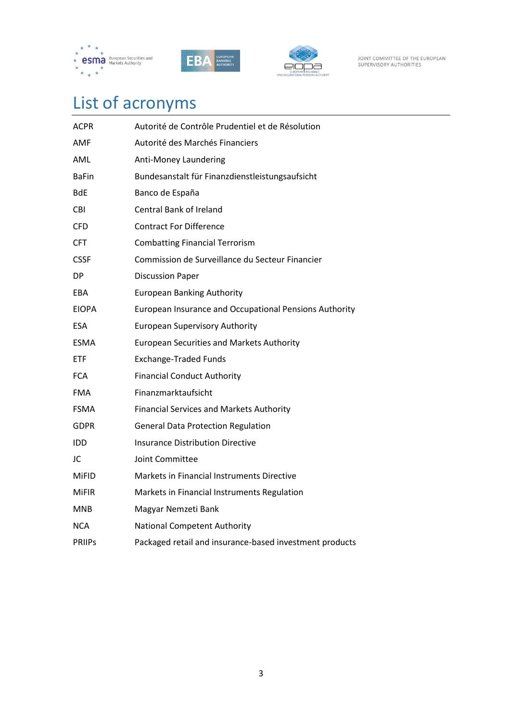





JOINT COMMITTEE OF THE EUROPEAN<br>SUPERVISORY AUTHORITIES

# <span id="page-2-0"></span>List of acronyms

<span id="page-2-1"></span>

| ACPR          | Autorité de Contrôle Prudentiel et de Résolution        |
|---------------|---------------------------------------------------------|
| AMF           | Autorité des Marchés Financiers                         |
| AML           | Anti-Money Laundering                                   |
| <b>BaFin</b>  | Bundesanstalt für Finanzdienstleistungsaufsicht         |
| <b>BdE</b>    | Banco de España                                         |
| <b>CBI</b>    | <b>Central Bank of Ireland</b>                          |
| <b>CFD</b>    | <b>Contract For Difference</b>                          |
| <b>CFT</b>    | <b>Combatting Financial Terrorism</b>                   |
| <b>CSSF</b>   | Commission de Surveillance du Secteur Financier         |
| DP.           | <b>Discussion Paper</b>                                 |
| EBA           | <b>European Banking Authority</b>                       |
| <b>EIOPA</b>  | European Insurance and Occupational Pensions Authority  |
| ESA.          | <b>European Supervisory Authority</b>                   |
| <b>ESMA</b>   | <b>European Securities and Markets Authority</b>        |
| <b>ETF</b>    | <b>Exchange-Traded Funds</b>                            |
| <b>FCA</b>    | <b>Financial Conduct Authority</b>                      |
| <b>FMA</b>    | Finanzmarktaufsicht                                     |
| <b>FSMA</b>   | <b>Financial Services and Markets Authority</b>         |
| <b>GDPR</b>   | <b>General Data Protection Regulation</b>               |
| <b>IDD</b>    | <b>Insurance Distribution Directive</b>                 |
| JC            | Joint Committee                                         |
| <b>MiFID</b>  | Markets in Financial Instruments Directive              |
| <b>MiFIR</b>  | Markets in Financial Instruments Regulation             |
| <b>MNB</b>    | Magyar Nemzeti Bank                                     |
| NCA.          | <b>National Competent Authority</b>                     |
| <b>PRIIPS</b> | Packaged retail and insurance-based investment products |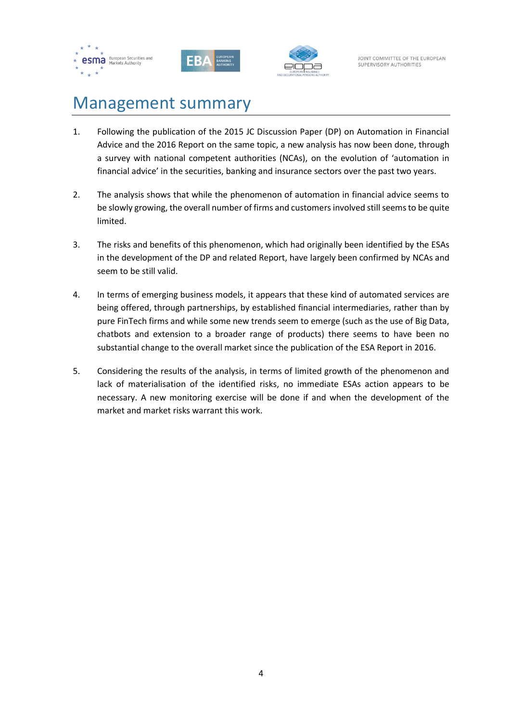





## Management summary

- 1. Following the publication of the 2015 JC Discussion Paper (DP) on Automation in Financial Advice and the 2016 Report on the same topic, a new analysis has now been done, through a survey with national competent authorities (NCAs), on the evolution of 'automation in financial advice' in the securities, banking and insurance sectors over the past two years.
- 2. The analysis shows that while the phenomenon of automation in financial advice seems to be slowly growing, the overall number of firms and customers involved still seems to be quite limited.
- 3. The risks and benefits of this phenomenon, which had originally been identified by the ESAs in the development of the DP and related Report, have largely been confirmed by NCAs and seem to be still valid.
- 4. In terms of emerging business models, it appears that these kind of automated services are being offered, through partnerships, by established financial intermediaries, rather than by pure FinTech firms and while some new trends seem to emerge (such as the use of Big Data, chatbots and extension to a broader range of products) there seems to have been no substantial change to the overall market since the publication of the ESA Report in 2016.
- 5. Considering the results of the analysis, in terms of limited growth of the phenomenon and lack of materialisation of the identified risks, no immediate ESAs action appears to be necessary. A new monitoring exercise will be done if and when the development of the market and market risks warrant this work.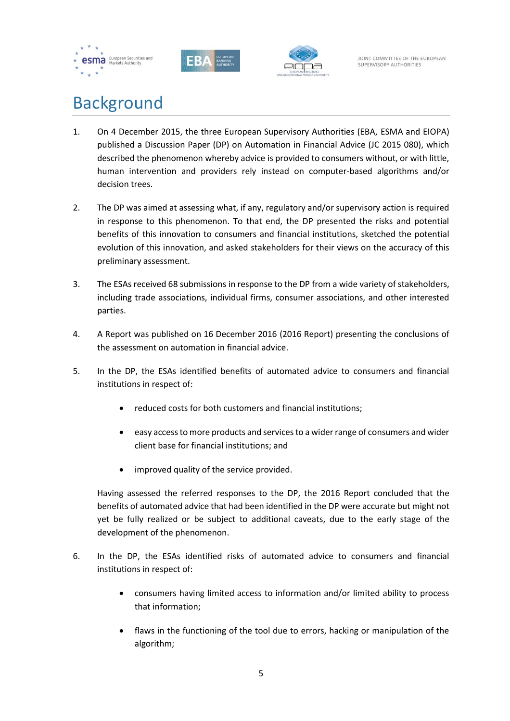





## <span id="page-4-0"></span>Background

- 1. On 4 December 2015, the three European Supervisory Authorities (EBA, ESMA and EIOPA) published a Discussion Paper (DP) on Automation in Financial Advice (JC 2015 080), which described the phenomenon whereby advice is provided to consumers without, or with little, human intervention and providers rely instead on computer-based algorithms and/or decision trees.
- 2. The DP was aimed at assessing what, if any, regulatory and/or supervisory action is required in response to this phenomenon. To that end, the DP presented the risks and potential benefits of this innovation to consumers and financial institutions, sketched the potential evolution of this innovation, and asked stakeholders for their views on the accuracy of this preliminary assessment.
- 3. The ESAs received 68 submissions in response to the DP from a wide variety of stakeholders, including trade associations, individual firms, consumer associations, and other interested parties.
- 4. A Report was published on 16 December 2016 (2016 Report) presenting the conclusions of the assessment on automation in financial advice.
- 5. In the DP, the ESAs identified benefits of automated advice to consumers and financial institutions in respect of:
	- reduced costs for both customers and financial institutions;
	- easy access to more products and services to a wider range of consumers and wider client base for financial institutions; and
	- improved quality of the service provided.

Having assessed the referred responses to the DP, the 2016 Report concluded that the benefits of automated advice that had been identified in the DP were accurate but might not yet be fully realized or be subject to additional caveats, due to the early stage of the development of the phenomenon.

- 6. In the DP, the ESAs identified risks of automated advice to consumers and financial institutions in respect of:
	- consumers having limited access to information and/or limited ability to process that information;
	- flaws in the functioning of the tool due to errors, hacking or manipulation of the algorithm;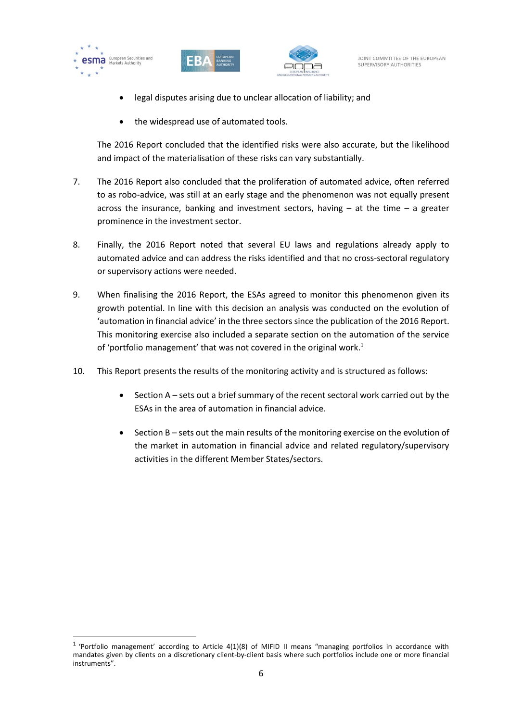

1





- legal disputes arising due to unclear allocation of liability; and
- the widespread use of automated tools.

The 2016 Report concluded that the identified risks were also accurate, but the likelihood and impact of the materialisation of these risks can vary substantially.

- 7. The 2016 Report also concluded that the proliferation of automated advice, often referred to as robo-advice, was still at an early stage and the phenomenon was not equally present across the insurance, banking and investment sectors, having  $-$  at the time  $-$  a greater prominence in the investment sector.
- 8. Finally, the 2016 Report noted that several EU laws and regulations already apply to automated advice and can address the risks identified and that no cross-sectoral regulatory or supervisory actions were needed.
- 9. When finalising the 2016 Report, the ESAs agreed to monitor this phenomenon given its growth potential. In line with this decision an analysis was conducted on the evolution of 'automation in financial advice' in the three sectors since the publication of the 2016 Report. This monitoring exercise also included a separate section on the automation of the service of 'portfolio management' that was not covered in the original work.<sup>1</sup>
- 10. This Report presents the results of the monitoring activity and is structured as follows:
	- Section A sets out a brief summary of the recent sectoral work carried out by the ESAs in the area of automation in financial advice.
	- Section B sets out the main results of the monitoring exercise on the evolution of the market in automation in financial advice and related regulatory/supervisory activities in the different Member States/sectors.

<sup>&</sup>lt;sup>1</sup> 'Portfolio management' according to Article 4(1)(8) of MIFID II means "managing portfolios in accordance with mandates given by clients on a discretionary client-by-client basis where such portfolios include one or more financial instruments".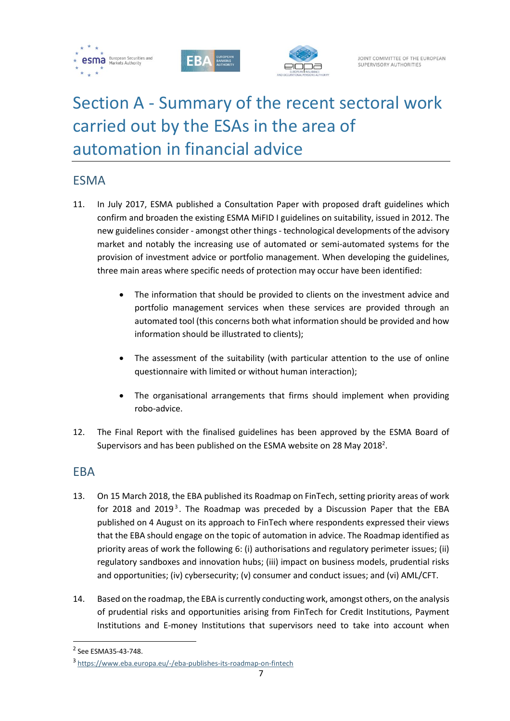





# <span id="page-6-0"></span>Section A - Summary of the recent sectoral work carried out by the ESAs in the area of automation in financial advice

### ESMA

- 11. In July 2017, ESMA published a Consultation Paper with proposed draft guidelines which confirm and broaden the existing ESMA MiFID I guidelines on suitability, issued in 2012. The new guidelines consider - amongst other things - technological developments of the advisory market and notably the increasing use of automated or semi-automated systems for the provision of investment advice or portfolio management. When developing the guidelines, three main areas where specific needs of protection may occur have been identified:
	- The information that should be provided to clients on the investment advice and portfolio management services when these services are provided through an automated tool (this concerns both what information should be provided and how information should be illustrated to clients);
	- The assessment of the suitability (with particular attention to the use of online questionnaire with limited or without human interaction);
	- The organisational arrangements that firms should implement when providing robo-advice.
- 12. The Final Report with the finalised guidelines has been approved by the ESMA Board of Supervisors and has been published on the ESMA website on 28 May 2018<sup>2</sup>.

### EBA

- 13. On 15 March 2018, the EBA published its Roadmap on FinTech, setting priority areas of work for 2018 and 2019<sup>3</sup>. The Roadmap was preceded by a Discussion Paper that the EBA published on 4 August on its approach to FinTech where respondents expressed their views that the EBA should engage on the topic of automation in advice. The Roadmap identified as priority areas of work the following 6: (i) authorisations and regulatory perimeter issues; (ii) regulatory sandboxes and innovation hubs; (iii) impact on business models, prudential risks and opportunities; (iv) cybersecurity; (v) consumer and conduct issues; and (vi) AML/CFT.
- 14. Based on the roadmap, the EBA is currently conducting work, amongst others, on the analysis of prudential risks and opportunities arising from FinTech for Credit Institutions, Payment Institutions and E-money Institutions that supervisors need to take into account when

<sup>2</sup> See ESMA35-43-748.

<sup>3</sup> <https://www.eba.europa.eu/-/eba-publishes-its-roadmap-on-fintech>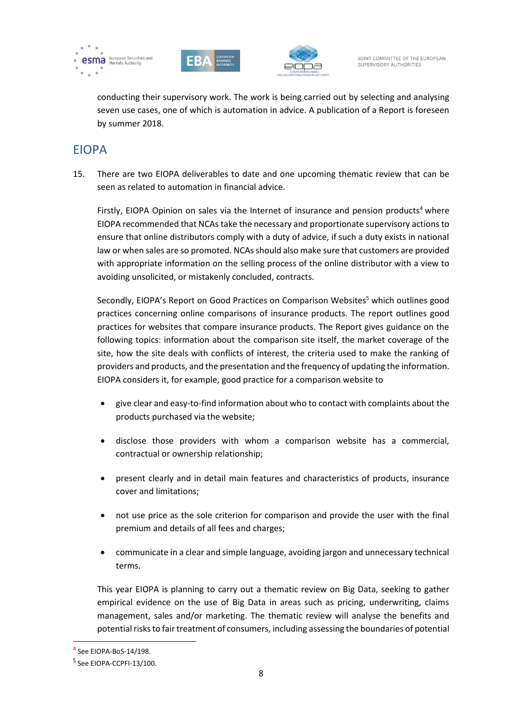





conducting their supervisory work. The work is being carried out by selecting and analysing seven use cases, one of which is automation in advice. A publication of a Report is foreseen by summer 2018.

### EIOPA

15. There are two EIOPA deliverables to date and one upcoming thematic review that can be seen as related to automation in financial advice.

Firstly, EIOPA Opinion on sales via the Internet of insurance and pension products<sup>4</sup> where EIOPA recommended that NCAs take the necessary and proportionate supervisory actions to ensure that online distributors comply with a duty of advice, if such a duty exists in national law or when sales are so promoted. NCAs should also make sure that customers are provided with appropriate information on the selling process of the online distributor with a view to avoiding unsolicited, or mistakenly concluded, contracts.

Secondly, EIOPA's Report on Good Practices on Comparison Websites<sup>5</sup> which outlines good practices concerning online comparisons of insurance products. The report outlines good practices for websites that compare insurance products. The Report gives guidance on the following topics: information about the comparison site itself, the market coverage of the site, how the site deals with conflicts of interest, the criteria used to make the ranking of providers and products, and the presentation and the frequency of updating the information. EIOPA considers it, for example, good practice for a comparison website to

- give clear and easy-to-find information about who to contact with complaints about the products purchased via the website;
- disclose those providers with whom a comparison website has a commercial, contractual or ownership relationship;
- present clearly and in detail main features and characteristics of products, insurance cover and limitations;
- not use price as the sole criterion for comparison and provide the user with the final premium and details of all fees and charges;
- communicate in a clear and simple language, avoiding jargon and unnecessary technical terms.

This year EIOPA is planning to carry out a thematic review on Big Data, seeking to gather empirical evidence on the use of Big Data in areas such as pricing, underwriting, claims management, sales and/or marketing. The thematic review will analyse the benefits and potential risks to fair treatment of consumers, including assessing the boundaries of potential

<sup>4</sup> See EIOPA-BoS-14/198.

<sup>&</sup>lt;sup>5</sup> See EIOPA-CCPFI-13/100.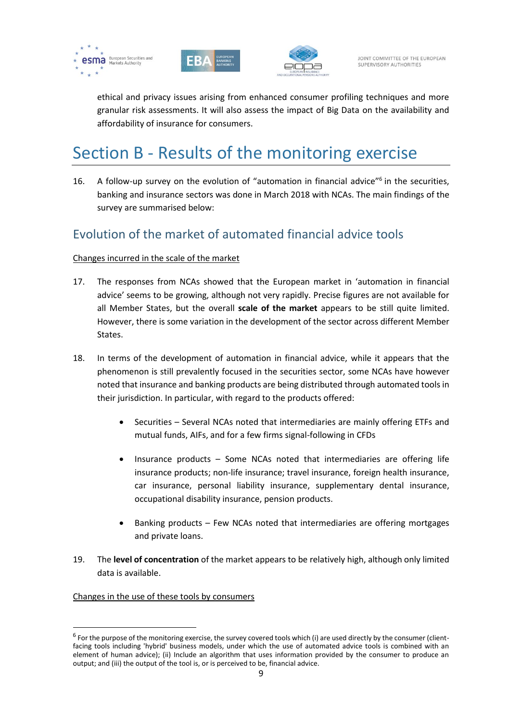





ethical and privacy issues arising from enhanced consumer profiling techniques and more granular risk assessments. It will also assess the impact of Big Data on the availability and affordability of insurance for consumers.

## <span id="page-8-0"></span>Section B - Results of the monitoring exercise

16. A follow-up survey on the evolution of "automation in financial advice"<sup>6</sup> in the securities, banking and insurance sectors was done in March 2018 with NCAs. The main findings of the survey are summarised below:

### Evolution of the market of automated financial advice tools

#### Changes incurred in the scale of the market

- 17. The responses from NCAs showed that the European market in 'automation in financial advice' seems to be growing, although not very rapidly. Precise figures are not available for all Member States, but the overall **scale of the market** appears to be still quite limited. However, there is some variation in the development of the sector across different Member States.
- 18. In terms of the development of automation in financial advice, while it appears that the phenomenon is still prevalently focused in the securities sector, some NCAs have however noted that insurance and banking products are being distributed through automated tools in their jurisdiction. In particular, with regard to the products offered:
	- Securities Several NCAs noted that intermediaries are mainly offering ETFs and mutual funds, AIFs, and for a few firms signal-following in CFDs
	- Insurance products Some NCAs noted that intermediaries are offering life insurance products; non-life insurance; travel insurance, foreign health insurance, car insurance, personal liability insurance, supplementary dental insurance, occupational disability insurance, pension products.
	- Banking products Few NCAs noted that intermediaries are offering mortgages and private loans.
- 19. The **level of concentration** of the market appears to be relatively high, although only limited data is available.

#### Changes in the use of these tools by consumers

 $^6$  For the purpose of the monitoring exercise, the survey covered tools which (i) are used directly by the consumer (clientfacing tools including 'hybrid' business models, under which the use of automated advice tools is combined with an element of human advice); (ii) Include an algorithm that uses information provided by the consumer to produce an output; and (iii) the output of the tool is, or is perceived to be, financial advice.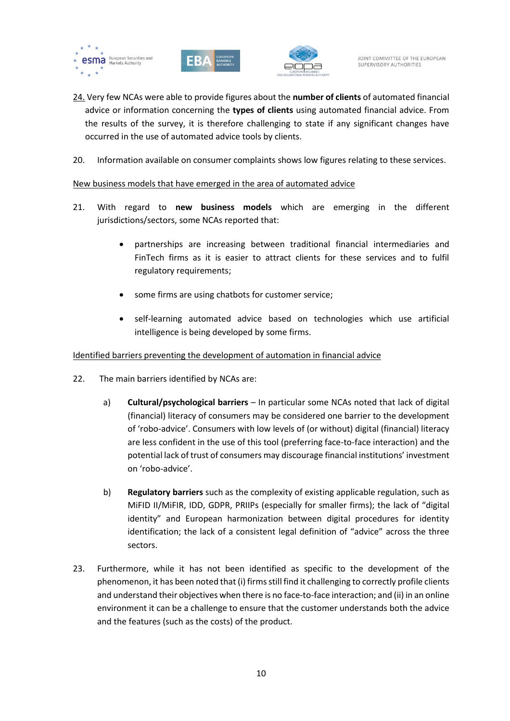





- 24. Very few NCAs were able to provide figures about the **number of clients** of automated financial advice or information concerning the **types of clients** using automated financial advice. From the results of the survey, it is therefore challenging to state if any significant changes have occurred in the use of automated advice tools by clients.
- 20. Information available on consumer complaints shows low figures relating to these services.

#### New business models that have emerged in the area of automated advice

- 21. With regard to **new business models** which are emerging in the different jurisdictions/sectors, some NCAs reported that:
	- partnerships are increasing between traditional financial intermediaries and FinTech firms as it is easier to attract clients for these services and to fulfil regulatory requirements;
	- some firms are using chatbots for customer service;
	- self-learning automated advice based on technologies which use artificial intelligence is being developed by some firms.

#### Identified barriers preventing the development of automation in financial advice

- 22. The main barriers identified by NCAs are:
	- a) **Cultural/psychological barriers** In particular some NCAs noted that lack of digital (financial) literacy of consumers may be considered one barrier to the development of 'robo-advice'. Consumers with low levels of (or without) digital (financial) literacy are less confident in the use of this tool (preferring face-to-face interaction) and the potential lack of trust of consumers may discourage financial institutions' investment on 'robo-advice'.
	- b) **Regulatory barriers** such as the complexity of existing applicable regulation, such as MiFID II/MiFIR, IDD, GDPR, PRIIPs (especially for smaller firms); the lack of "digital identity" and European harmonization between digital procedures for identity identification; the lack of a consistent legal definition of "advice" across the three sectors.
- 23. Furthermore, while it has not been identified as specific to the development of the phenomenon, it has been noted that (i) firms still find it challenging to correctly profile clients and understand their objectives when there is no face-to-face interaction; and (ii) in an online environment it can be a challenge to ensure that the customer understands both the advice and the features (such as the costs) of the product.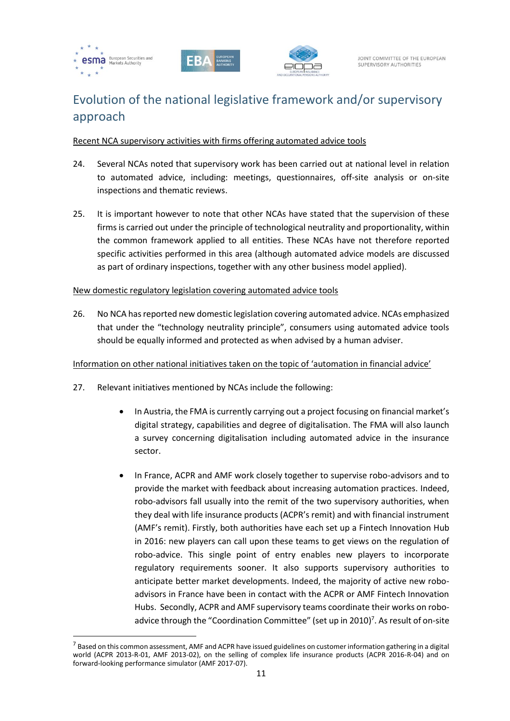

1





## Evolution of the national legislative framework and/or supervisory approach

#### Recent NCA supervisory activities with firms offering automated advice tools

- 24. Several NCAs noted that supervisory work has been carried out at national level in relation to automated advice, including: meetings, questionnaires, off-site analysis or on-site inspections and thematic reviews.
- 25. It is important however to note that other NCAs have stated that the supervision of these firms is carried out under the principle of technological neutrality and proportionality, within the common framework applied to all entities. These NCAs have not therefore reported specific activities performed in this area (although automated advice models are discussed as part of ordinary inspections, together with any other business model applied).

#### New domestic regulatory legislation covering automated advice tools

26. No NCA hasreported new domestic legislation covering automated advice. NCAs emphasized that under the "technology neutrality principle", consumers using automated advice tools should be equally informed and protected as when advised by a human adviser.

#### Information on other national initiatives taken on the topic of 'automation in financial advice'

- 27. Relevant initiatives mentioned by NCAs include the following:
	- In Austria, the FMA is currently carrying out a project focusing on financial market's digital strategy, capabilities and degree of digitalisation. The FMA will also launch a survey concerning digitalisation including automated advice in the insurance sector.
	- In France, ACPR and AMF work closely together to supervise robo-advisors and to provide the market with feedback about increasing automation practices. Indeed, robo-advisors fall usually into the remit of the two supervisory authorities, when they deal with life insurance products (ACPR's remit) and with financial instrument (AMF's remit). Firstly, both authorities have each set up a Fintech Innovation Hub in 2016: new players can call upon these teams to get views on the regulation of robo-advice. This single point of entry enables new players to incorporate regulatory requirements sooner. It also supports supervisory authorities to anticipate better market developments. Indeed, the majority of active new roboadvisors in France have been in contact with the ACPR or AMF Fintech Innovation Hubs. Secondly, ACPR and AMF supervisory teams coordinate their works on roboadvice through the "Coordination Committee" (set up in 2010)<sup>7</sup>. As result of on-site

 $^7$  Based on this common assessment, AMF and ACPR have issued guidelines on customer information gathering in a digital world (ACPR 2013-R-01, AMF 2013-02), on the selling of complex life insurance products (ACPR 2016-R-04) and on forward-looking performance simulator (AMF 2017-07).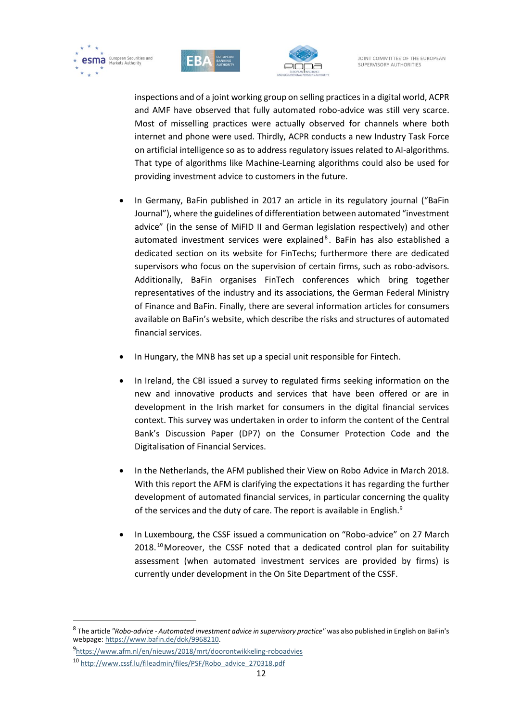





JOINT COMMITTEE OF THE EUROPEAN SUPERVISORY AUTHORITIES

inspections and of a joint working group on selling practices in a digital world, ACPR and AMF have observed that fully automated robo-advice was still very scarce. Most of misselling practices were actually observed for channels where both internet and phone were used. Thirdly, ACPR conducts a new Industry Task Force on artificial intelligence so as to address regulatory issues related to AI-algorithms. That type of algorithms like Machine-Learning algorithms could also be used for providing investment advice to customers in the future.

- In Germany, BaFin published in 2017 an article in its regulatory journal ("BaFin Journal"), where the guidelines of differentiation between automated "investment advice" (in the sense of MiFID II and German legislation respectively) and other automated investment services were explained<sup>8</sup>. BaFin has also established a dedicated section on its website for FinTechs; furthermore there are dedicated supervisors who focus on the supervision of certain firms, such as robo-advisors. Additionally, BaFin organises FinTech conferences which bring together representatives of the industry and its associations, the German Federal Ministry of Finance and BaFin. Finally, there are several information articles for consumers available on BaFin's website, which describe the risks and structures of automated financial services.
- In Hungary, the MNB has set up a special unit responsible for Fintech.
- In Ireland, the CBI issued a survey to regulated firms seeking information on the new and innovative products and services that have been offered or are in development in the Irish market for consumers in the digital financial services context. This survey was undertaken in order to inform the content of the Central Bank's Discussion Paper (DP7) on the Consumer Protection Code and the Digitalisation of Financial Services.
- In the Netherlands, the AFM published their View on Robo Advice in March 2018. With this report the AFM is clarifying the expectations it has regarding the further development of automated financial services, in particular concerning the quality of the services and the duty of care. The report is available in English.<sup>9</sup>
- In Luxembourg, the CSSF issued a communication on "Robo-advice" on 27 March 2018.<sup>10</sup> Moreover, the CSSF noted that a dedicated control plan for suitability assessment (when automated investment services are provided by firms) is currently under development in the On Site Department of the CSSF.

<sup>8</sup> The article *"Robo-advice - Automated investment advice in supervisory practice"* was also published in English on BaFin's webpage: [https://www.bafin.de/dok/9968210.](https://www.bafin.de/dok/9968210)

<sup>9</sup> <https://www.afm.nl/en/nieuws/2018/mrt/doorontwikkeling-roboadvies>

<sup>10</sup> [http://www.cssf.lu/fileadmin/files/PSF/Robo\\_advice\\_270318.pdf](http://www.cssf.lu/fileadmin/files/PSF/Robo_advice_270318.pdf)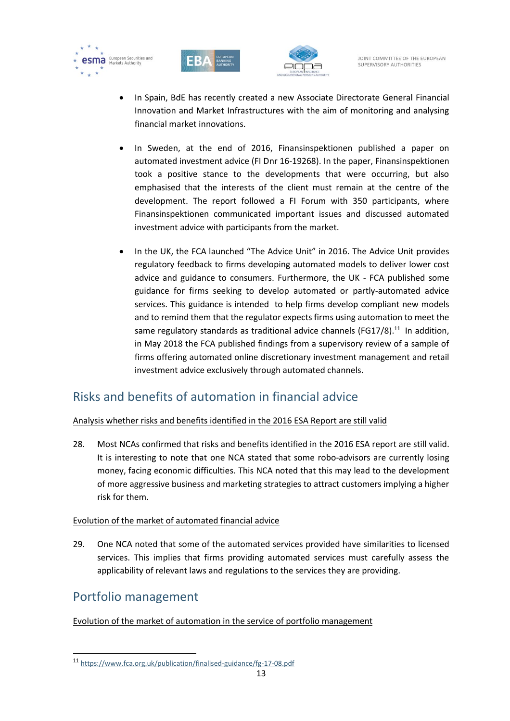





JOINT COMMITTEE OF THE EUROPEAN SUPERVISORY AUTHORITIES

- In Spain, BdE has recently created a new Associate Directorate General Financial Innovation and Market Infrastructures with the aim of monitoring and analysing financial market innovations.
- In Sweden, at the end of 2016, Finansinspektionen published a paper on automated investment advice (FI Dnr 16-19268). In the paper, Finansinspektionen took a positive stance to the developments that were occurring, but also emphasised that the interests of the client must remain at the centre of the development. The report followed a FI Forum with 350 participants, where Finansinspektionen communicated important issues and discussed automated investment advice with participants from the market.
- In the UK, the FCA launched "The Advice Unit" in 2016. The Advice Unit provides regulatory feedback to firms developing automated models to deliver lower cost advice and guidance to consumers. Furthermore, the UK - FCA published some guidance for firms seeking to develop automated or partly-automated advice services. This guidance is intended to help firms develop compliant new models and to remind them that the regulator expects firms using automation to meet the same regulatory standards as traditional advice channels (FG17/8).<sup>11</sup> In addition, in May 2018 the FCA published findings from a supervisory review of a sample of firms offering automated online discretionary investment management and retail investment advice exclusively through automated channels.

## Risks and benefits of automation in financial advice

Analysis whether risks and benefits identified in the 2016 ESA Report are still valid

28. Most NCAs confirmed that risks and benefits identified in the 2016 ESA report are still valid. It is interesting to note that one NCA stated that some robo-advisors are currently losing money, facing economic difficulties. This NCA noted that this may lead to the development of more aggressive business and marketing strategies to attract customers implying a higher risk for them.

#### Evolution of the market of automated financial advice

29. One NCA noted that some of the automated services provided have similarities to licensed services. This implies that firms providing automated services must carefully assess the applicability of relevant laws and regulations to the services they are providing.

## Portfolio management

1

#### Evolution of the market of automation in the service of portfolio management

<sup>11</sup> <https://www.fca.org.uk/publication/finalised-guidance/fg-17-08.pdf>